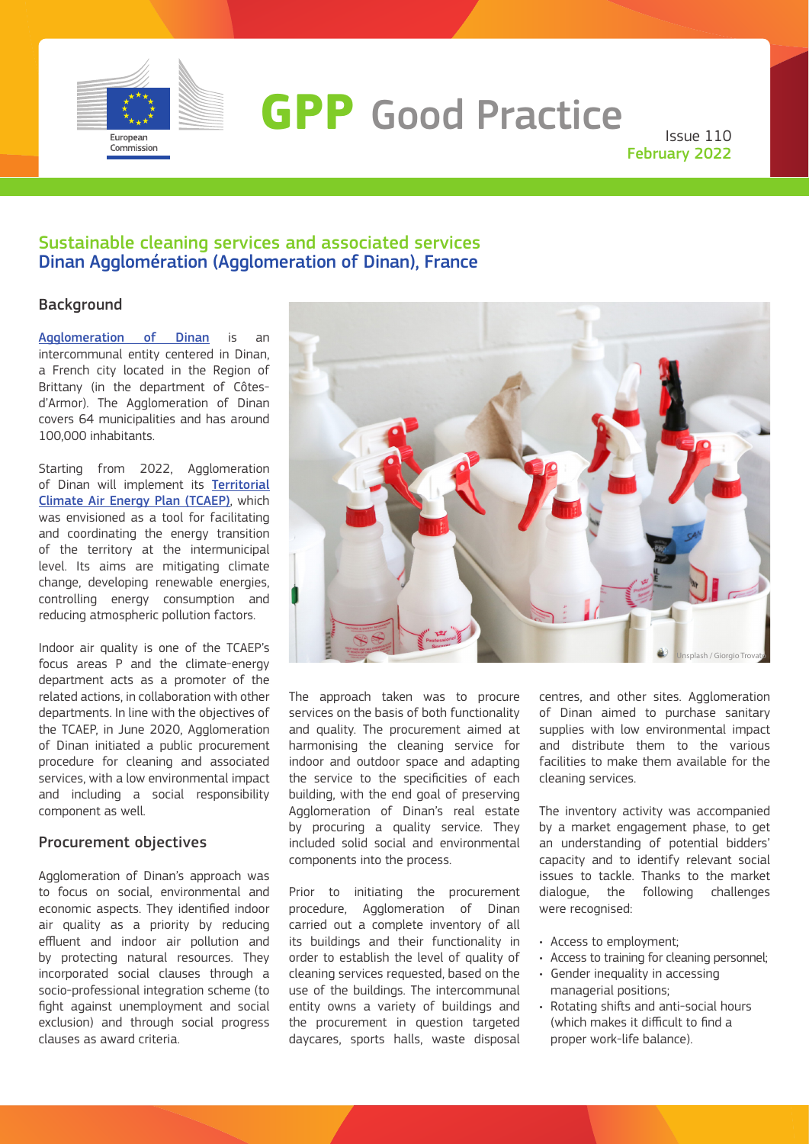

# **GPP** Good Practice

Issue 110 February 2022

# Sustainable cleaning services and associated services Dinan Agglomération (Agglomeration of Dinan), France

# Background

[Agglomeration of Dinan](https://www.dinan-agglomeration.fr/) is an intercommunal entity centered in Dinan, a French city located in the Region of Brittany (in the department of Côtesd'Armor). The Agglomeration of Dinan covers 64 municipalities and has around 100,000 inhabitants.

Starting from 2022, Agglomeration of Dinan will implement its [Territorial](https://www.dinan-agglomeration.fr/Environnement-developpement-durable/Energie-et-climat/Plan-Climat-Air-Energie-Territorial-PCAET) [Climate Air Energy Plan \(TCAEP\)](https://www.dinan-agglomeration.fr/Environnement-developpement-durable/Energie-et-climat/Plan-Climat-Air-Energie-Territorial-PCAET), which was envisioned as a tool for facilitating and coordinating the energy transition of the territory at the intermunicipal level. Its aims are mitigating climate change, developing renewable energies, controlling energy consumption and reducing atmospheric pollution factors.

Indoor air quality is one of the TCAEP's focus areas P and the climate-energy department acts as a promoter of the related actions, in collaboration with other departments. In line with the objectives of the TCAEP, in June 2020, Agglomeration of Dinan initiated a public procurement procedure for cleaning and associated services, with a low environmental impact and including a social responsibility component as well.

## Procurement objectives

Agglomeration of Dinan's approach was to focus on social, environmental and economic aspects. They identified indoor air quality as a priority by reducing effluent and indoor air pollution and by protecting natural resources. They incorporated social clauses through a socio-professional integration scheme (to fight against unemployment and social exclusion) and through social progress clauses as award criteria.



The approach taken was to procure services on the basis of both functionality and quality. The procurement aimed at harmonising the cleaning service for indoor and outdoor space and adapting the service to the specificities of each building, with the end goal of preserving Agglomeration of Dinan's real estate by procuring a quality service. They included solid social and environmental components into the process.

Prior to initiating the procurement procedure, Agglomeration of Dinan carried out a complete inventory of all its buildings and their functionality in order to establish the level of quality of cleaning services requested, based on the use of the buildings. The intercommunal entity owns a variety of buildings and the procurement in question targeted daycares, sports halls, waste disposal

centres, and other sites. Agglomeration of Dinan aimed to purchase sanitary supplies with low environmental impact and distribute them to the various facilities to make them available for the cleaning services.

The inventory activity was accompanied by a market engagement phase, to get an understanding of potential bidders' capacity and to identify relevant social issues to tackle. Thanks to the market dialogue, the following challenges were recognised:

- Access to employment;
- Access to training for cleaning personnel;
- Gender inequality in accessing managerial positions;
- Rotating shifts and anti-social hours (which makes it difficult to find a proper work-life balance).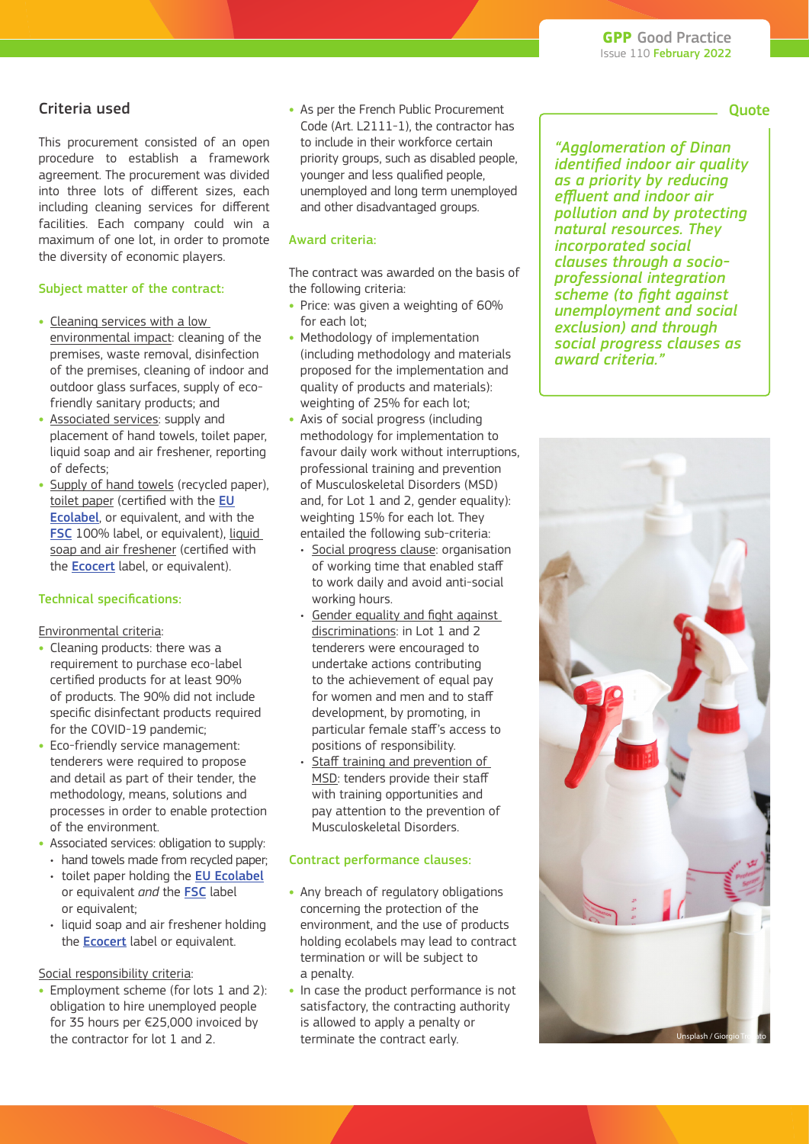# Criteria used

This procurement consisted of an open procedure to establish a framework agreement. The procurement was divided into three lots of different sizes, each including cleaning services for different facilities. Each company could win a maximum of one lot, in order to promote the diversity of economic players.

#### Subject matter of the contract:

- **•** Cleaning services with a low environmental impact: cleaning of the premises, waste removal, disinfection of the premises, cleaning of indoor and outdoor glass surfaces, supply of ecofriendly sanitary products; and
- **•** Associated services: supply and placement of hand towels, toilet paper, liquid soap and air freshener, reporting of defects;
- **•** Supply of hand towels (recycled paper), toilet paper (certified with the [EU](https://ec.europa.eu/environment/ecolabel/) [Ecolabel](https://ec.europa.eu/environment/ecolabel/), or equivalent, and with the [FSC](https://fsc.org/en/fsc-labels) 100% label, or equivalent), liquid soap and air freshener (certified with the [Ecocert](https://www.ecocert.com/en/home) label, or equivalent).

#### Technical specifications:

Environmental criteria:

- **•** Cleaning products: there was a requirement to purchase eco-label certified products for at least 90% of products. The 90% did not include specific disinfectant products required for the COVID-19 pandemic;
- **•** Eco-friendly service management: tenderers were required to propose and detail as part of their tender, the methodology, means, solutions and processes in order to enable protection of the environment.
- **•** Associated services: obligation to supply:
	- hand towels made from recycled paper;
	- toilet paper holding the [EU Ecolabel](https://ec.europa.eu/environment/ecolabel/) or equivalent *and* the [FSC](https://fsc.org/en/fsc-labels) label or equivalent;
	- liquid soap and air freshener holding the **[Ecocert](https://www.ecocert.com/en/home)** label or equivalent.

#### Social responsibility criteria:

**•** Employment scheme (for lots 1 and 2): obligation to hire unemployed people for 35 hours per €25,000 invoiced by the contractor for lot 1 and 2.

**•** As per the French Public Procurement Code (Art. L2111-1), the contractor has to include in their workforce certain priority groups, such as disabled people, younger and less qualified people, unemployed and long term unemployed and other disadvantaged groups.

#### Award criteria:

The contract was awarded on the basis of the following criteria:

- **•** Price: was given a weighting of 60% for each lot;
- **•** Methodology of implementation (including methodology and materials proposed for the implementation and quality of products and materials): weighting of 25% for each lot;
- **•** Axis of social progress (including methodology for implementation to favour daily work without interruptions, professional training and prevention of Musculoskeletal Disorders (MSD) and, for Lot 1 and 2, gender equality): weighting 15% for each lot. They entailed the following sub-criteria:
	- Social progress clause: organisation of working time that enabled staff to work daily and avoid anti-social working hours.
	- Gender equality and fight against discriminations: in Lot 1 and 2 tenderers were encouraged to undertake actions contributing to the achievement of equal pay for women and men and to staff development, by promoting, in particular female staff's access to positions of responsibility.
	- Staff training and prevention of MSD: tenders provide their staff with training opportunities and pay attention to the prevention of Musculoskeletal Disorders.

#### Contract performance clauses:

- **•** Any breach of regulatory obligations concerning the protection of the environment, and the use of products holding ecolabels may lead to contract termination or will be subject to a penalty.
- **•** In case the product performance is not satisfactory, the contracting authority is allowed to apply a penalty or terminate the contract early.

*"Agglomeration of Dinan identified indoor air quality as a priority by reducing effluent and indoor air pollution and by protecting natural resources. They incorporated social clauses through a socioprofessional integration scheme (to fight against unemployment and social exclusion) and through social progress clauses as award criteria."*



. Quote